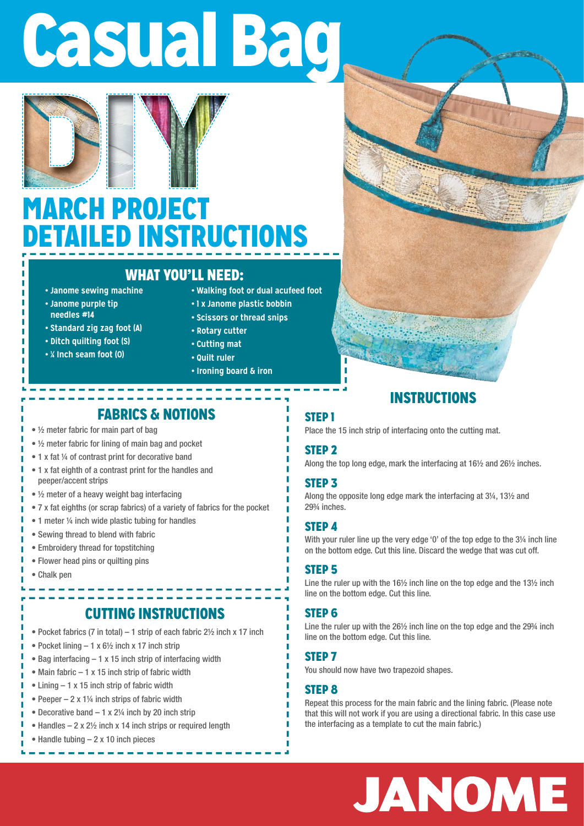# Casual Bag



### MARCH PROJECT DETAILED INSTRUCTIONS

#### WHAT YOU'LL NEED:

- **Janome sewing machine**
- **Janome purple tip needles #14**
- **Standard zig zag foot (A)**
- **Ditch quilting foot (S)**
- **¼ Inch seam foot (O)**
- **Walking foot or dual acufeed foot**
- **1 x Janome plastic bobbin**
- **Scissors or thread snips**
- **Rotary cutter**
- **Cutting mat • Quilt ruler**
- 
- **Ironing board & iron**

#### FABRICS & NOTIONS

- ½ meter fabric for main part of bag
- ½ meter fabric for lining of main bag and pocket
- 1 x fat ¼ of contrast print for decorative band
- 1 x fat eighth of a contrast print for the handles and peeper/accent strips
- ½ meter of a heavy weight bag interfacing
- 7 x fat eighths (or scrap fabrics) of a variety of fabrics for the pocket
- 1 meter 1/4 inch wide plastic tubing for handles
- Sewing thread to blend with fabric
- Embroidery thread for topstitching
- Flower head pins or quilting pins
- Chalk pen

#### CUTTING INSTRUCTIONS

- Pocket fabrics (7 in total) 1 strip of each fabric  $2\frac{1}{2}$  inch x 17 inch
- Pocket lining  $-1 \times 6\frac{1}{2}$  inch x 17 inch strip
- Bag interfacing 1 x 15 inch strip of interfacing width
- Main fabric 1 x 15 inch strip of fabric width
- Lining 1 x 15 inch strip of fabric width
- Peeper  $-2 \times 1\frac{1}{4}$  inch strips of fabric width
- Decorative band  $-1 \times 2\frac{1}{4}$  inch by 20 inch strip
- Handles  $-2 \times 2\frac{1}{2}$  inch x 14 inch strips or required length
- Handle tubing 2 x 10 inch pieces

#### STEP 3

STEP 2

STEP 1

Along the opposite long edge mark the interfacing at 3¼, 13½ and 29¾ inches.

Along the top long edge, mark the interfacing at 16½ and 26½ inches.

Place the 15 inch strip of interfacing onto the cutting mat.

#### STEP 4

With your ruler line up the very edge '0' of the top edge to the 3<sup>1/4</sup> inch line on the bottom edge. Cut this line. Discard the wedge that was cut off.

INSTRUCTIONS

#### STEP 5

Line the ruler up with the 16½ inch line on the top edge and the 13½ inch line on the bottom edge. Cut this line.

#### STEP 6

Line the ruler up with the 26½ inch line on the top edge and the 29¾ inch line on the bottom edge. Cut this line.

#### STEP 7

You should now have two trapezoid shapes.

#### STEP 8

Repeat this process for the main fabric and the lining fabric. (Please note that this will not work if you are using a directional fabric. In this case use the interfacing as a template to cut the main fabric.)

## JANOME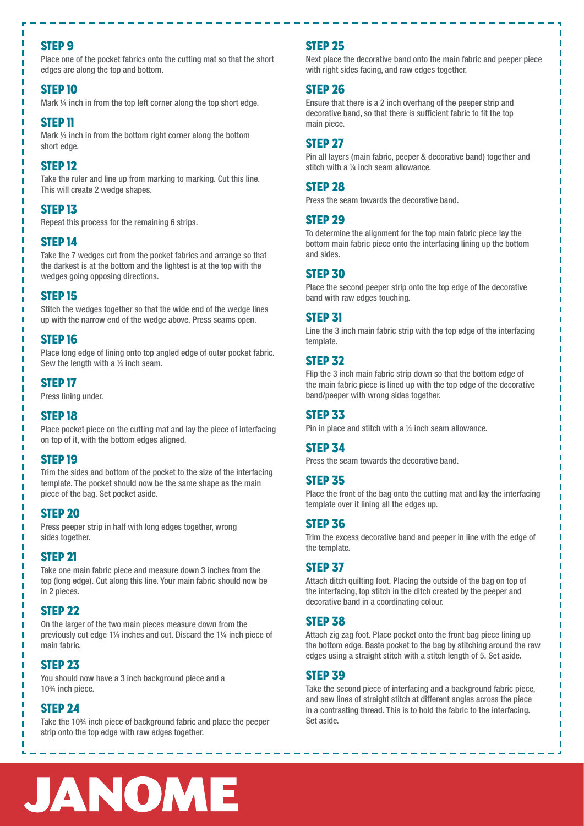#### STEP 9

Place one of the pocket fabrics onto the cutting mat so that the short edges are along the top and bottom.

#### STEP 10

Mark ¼ inch in from the top left corner along the top short edge.

#### STEP 11

Mark ¼ inch in from the bottom right corner along the bottom short edge.

#### STEP 12

Take the ruler and line up from marking to marking. Cut this line. This will create 2 wedge shapes.

#### STEP 13

Repeat this process for the remaining 6 strips.

#### STEP 14

Take the 7 wedges cut from the pocket fabrics and arrange so that the darkest is at the bottom and the lightest is at the top with the wedges going opposing directions.

#### STEP 15

Stitch the wedges together so that the wide end of the wedge lines up with the narrow end of the wedge above. Press seams open.

#### STEP 16

Place long edge of lining onto top angled edge of outer pocket fabric. Sew the length with a 1/4 inch seam.

#### STEP 17

Press lining under.

#### STEP 18

Place pocket piece on the cutting mat and lay the piece of interfacing on top of it, with the bottom edges aligned.

#### STEP 19

Trim the sides and bottom of the pocket to the size of the interfacing template. The pocket should now be the same shape as the main piece of the bag. Set pocket aside.

#### STEP 20

Press peeper strip in half with long edges together, wrong sides together.

#### STEP 21

Take one main fabric piece and measure down 3 inches from the top (long edge). Cut along this line. Your main fabric should now be in 2 pieces.

#### STEP 22

On the larger of the two main pieces measure down from the previously cut edge 1¼ inches and cut. Discard the 1¼ inch piece of main fabric.

#### STEP 23

You should now have a 3 inch background piece and a 10¾ inch piece.

#### STEP 24

п

Take the 10¾ inch piece of background fabric and place the peeper strip onto the top edge with raw edges together.

#### STEP 25

Next place the decorative band onto the main fabric and peeper piece with right sides facing, and raw edges together.

#### STEP 26

Ensure that there is a 2 inch overhang of the peeper strip and decorative band, so that there is sufficient fabric to fit the top main piece.

#### STEP 27

Pin all layers (main fabric, peeper & decorative band) together and stitch with a 1/4 inch seam allowance.

#### STEP 28

Press the seam towards the decorative band.

#### STEP 29

To determine the alignment for the top main fabric piece lay the bottom main fabric piece onto the interfacing lining up the bottom and sides.

#### **STEP 30**

Place the second peeper strip onto the top edge of the decorative band with raw edges touching.

#### STEP 31

Line the 3 inch main fabric strip with the top edge of the interfacing template.

#### STEP 32

Flip the 3 inch main fabric strip down so that the bottom edge of the main fabric piece is lined up with the top edge of the decorative band/peeper with wrong sides together.

#### STEP 33

Pin in place and stitch with a 1/4 inch seam allowance.

#### STEP 34

Press the seam towards the decorative band.

#### STEP 35

Place the front of the bag onto the cutting mat and lay the interfacing template over it lining all the edges up.

#### STEP 36

Trim the excess decorative band and peeper in line with the edge of the template.

#### STEP 37

Attach ditch quilting foot. Placing the outside of the bag on top of the interfacing, top stitch in the ditch created by the peeper and decorative band in a coordinating colour.

#### STEP 38

Attach zig zag foot. Place pocket onto the front bag piece lining up the bottom edge. Baste pocket to the bag by stitching around the raw edges using a straight stitch with a stitch length of 5. Set aside.

#### STEP 39

Take the second piece of interfacing and a background fabric piece, and sew lines of straight stitch at different angles across the piece in a contrasting thread. This is to hold the fabric to the interfacing. Set aside.